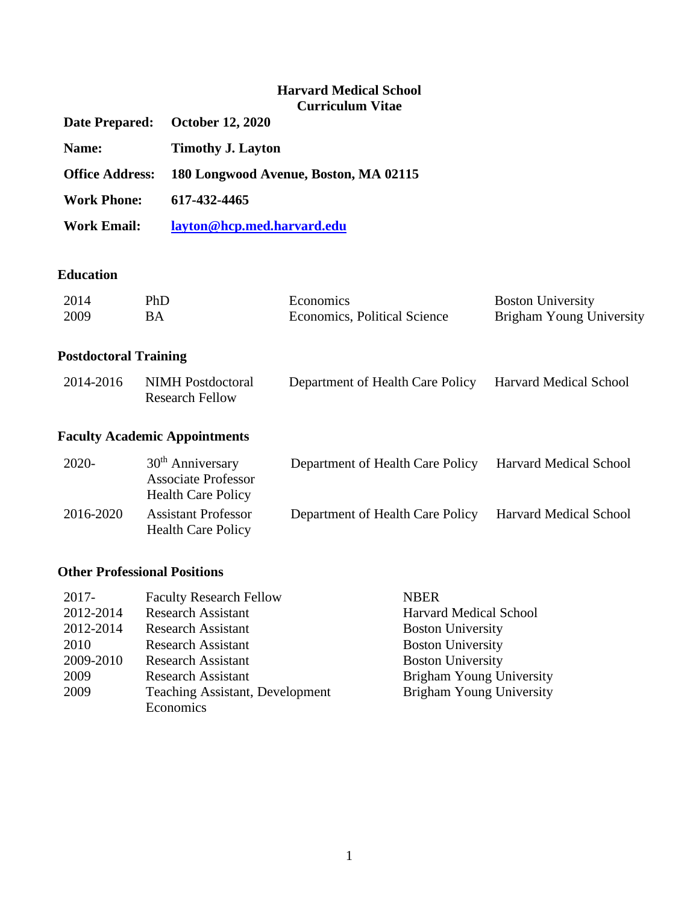# **Harvard Medical School Curriculum Vitae**

|                        | министративног                        |
|------------------------|---------------------------------------|
|                        | Date Prepared: October 12, 2020       |
| Name:                  | <b>Timothy J. Layton</b>              |
| <b>Office Address:</b> | 180 Longwood Avenue, Boston, MA 02115 |
| <b>Work Phone:</b>     | 617-432-4465                          |
| <b>Work Email:</b>     | layton@hcp.med.harvard.edu            |

### **Education**

| 2014 | PhD | Economics                    | <b>Boston University</b> |
|------|-----|------------------------------|--------------------------|
| 2009 | BА  | Economics, Political Science | Brigham Young University |

# **Postdoctoral Training**

| 2014-2016 | NIMH Postdoctoral | Department of Health Care Policy Harvard Medical School |  |
|-----------|-------------------|---------------------------------------------------------|--|
|           | Research Fellow   |                                                         |  |

# **Faculty Academic Appointments**

| $2020-$   | $30th$ Anniversary<br><b>Associate Professor</b>        | Department of Health Care Policy | <b>Harvard Medical School</b> |
|-----------|---------------------------------------------------------|----------------------------------|-------------------------------|
|           | <b>Health Care Policy</b>                               |                                  |                               |
| 2016-2020 | <b>Assistant Professor</b><br><b>Health Care Policy</b> | Department of Health Care Policy | <b>Harvard Medical School</b> |

### **Other Professional Positions**

| $2017 -$  | <b>Faculty Research Fellow</b>         | <b>NBER</b>                     |
|-----------|----------------------------------------|---------------------------------|
| 2012-2014 | <b>Research Assistant</b>              | <b>Harvard Medical School</b>   |
| 2012-2014 | <b>Research Assistant</b>              | <b>Boston University</b>        |
| 2010      | <b>Research Assistant</b>              | <b>Boston University</b>        |
| 2009-2010 | <b>Research Assistant</b>              | <b>Boston University</b>        |
| 2009      | <b>Research Assistant</b>              | Brigham Young University        |
| 2009      | <b>Teaching Assistant, Development</b> | <b>Brigham Young University</b> |
|           | Economics                              |                                 |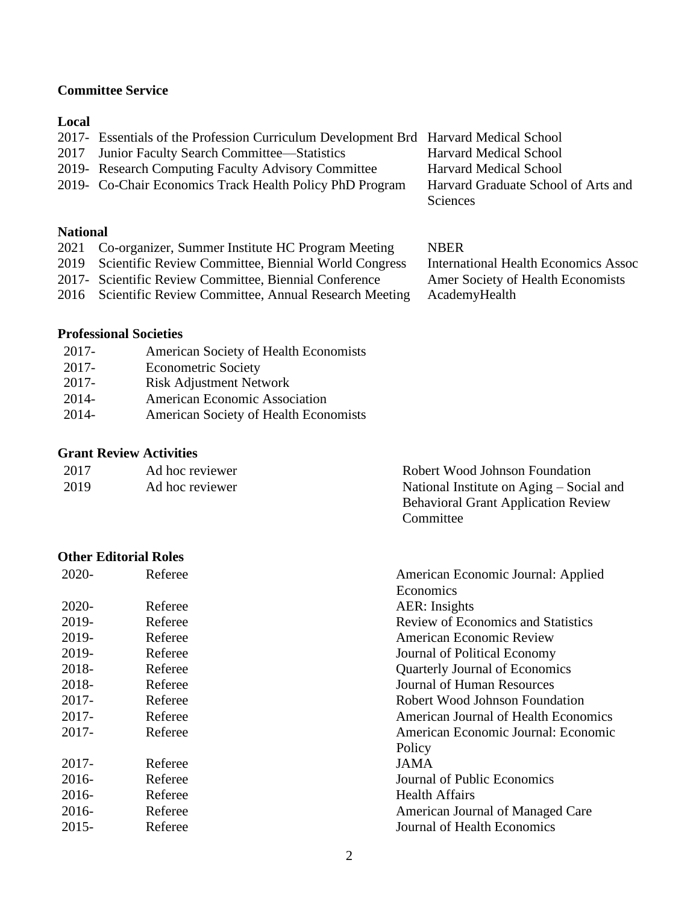# **Committee Service**

### **Local**

| 2017- Essentials of the Profession Curriculum Development Brd Harvard Medical School |                                     |
|--------------------------------------------------------------------------------------|-------------------------------------|
| 2017 Junior Faculty Search Committee—Statistics                                      | <b>Harvard Medical School</b>       |
| 2019 - Research Computing Faculty Advisory Committee                                 | <b>Harvard Medical School</b>       |
| 2019- Co-Chair Economics Track Health Policy PhD Program                             | Harvard Graduate School of Arts and |
|                                                                                      | Sciences                            |

### **National**

| 2021 Co-organizer, Summer Institute HC Program Meeting |  |  |  |  |  |  | <b>NBER</b> |
|--------------------------------------------------------|--|--|--|--|--|--|-------------|
|--------------------------------------------------------|--|--|--|--|--|--|-------------|

- 2019 Scientific Review Committee, Biennial World Congress International Health Economics Assoc
- 2017- Scientific Review Committee, Biennial Conference Amer Society of Health Economists
- 2016 Scientific Review Committee, Annual Research Meeting AcademyHealth

Committee

# **Professional Societies**

- 2017- Econometric Society
- 2017- Risk Adjustment Network
- 2014- American Economic Association
- 2014- American Society of Health Economists

### **Grant Review Activities**

| 2017 | Ad hoc reviewer | Robert Wood Johnson Foundation             |
|------|-----------------|--------------------------------------------|
| 2019 | Ad hoc reviewer | National Institute on Aging – Social and   |
|      |                 | <b>Behavioral Grant Application Review</b> |

### **Other Editorial Roles**

| $2020 -$ | Referee | American Economic Journal: Applied          |
|----------|---------|---------------------------------------------|
|          |         | Economics                                   |
| 2020-    | Referee | <b>AER</b> : Insights                       |
| 2019-    | Referee | <b>Review of Economics and Statistics</b>   |
| 2019-    | Referee | <b>American Economic Review</b>             |
| 2019-    | Referee | Journal of Political Economy                |
| 2018-    | Referee | <b>Quarterly Journal of Economics</b>       |
| 2018-    | Referee | Journal of Human Resources                  |
| $2017 -$ | Referee | Robert Wood Johnson Foundation              |
| $2017 -$ | Referee | <b>American Journal of Health Economics</b> |
| $2017 -$ | Referee | American Economic Journal: Economic         |
|          |         | Policy                                      |
| 2017-    | Referee | <b>JAMA</b>                                 |
| $2016-$  | Referee | Journal of Public Economics                 |
| $2016-$  | Referee | <b>Health Affairs</b>                       |
| $2016-$  | Referee | American Journal of Managed Care            |
| $2015 -$ | Referee | Journal of Health Economics                 |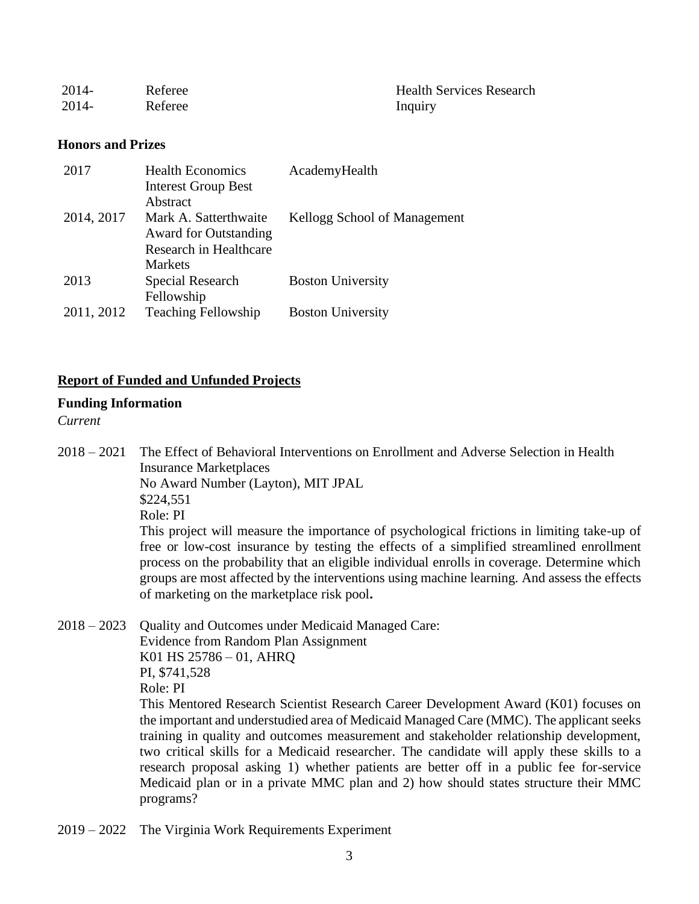| $2014 -$ | Referee | <b>Health Services Research</b> |
|----------|---------|---------------------------------|
| $2014 -$ | Referee | Inquiry                         |

### **Honors and Prizes**

| <b>Health Economics</b>      | AcademyHealth                |
|------------------------------|------------------------------|
| <b>Interest Group Best</b>   |                              |
| Abstract                     |                              |
| Mark A. Satterthwaite        | Kellogg School of Management |
| <b>Award for Outstanding</b> |                              |
| Research in Healthcare       |                              |
| Markets                      |                              |
| Special Research             | <b>Boston University</b>     |
| Fellowship                   |                              |
| <b>Teaching Fellowship</b>   | <b>Boston University</b>     |
|                              |                              |

### **Report of Funded and Unfunded Projects**

### **Funding Information**

### *Current*

2018 – 2021 The Effect of Behavioral Interventions on Enrollment and Adverse Selection in Health Insurance Marketplaces No Award Number (Layton), MIT JPAL \$224,551 Role: PI This project will measure the importance of psychological frictions in limiting take-up of free or low-cost insurance by testing the effects of a simplified streamlined enrollment

process on the probability that an eligible individual enrolls in coverage. Determine which groups are most affected by the interventions using machine learning. And assess the effects of marketing on the marketplace risk pool**.**

2018 – 2023 Quality and Outcomes under Medicaid Managed Care: Evidence from Random Plan Assignment K01 HS 25786 – 01, AHRQ PI, \$741,528 Role: PI This Mentored Research Scientist Research Career Development Award (K01) focuses on the important and understudied area of Medicaid Managed Care (MMC). The applicant seeks training in quality and outcomes measurement and stakeholder relationship development, two critical skills for a Medicaid researcher. The candidate will apply these skills to a research proposal asking 1) whether patients are better off in a public fee for-service Medicaid plan or in a private MMC plan and 2) how should states structure their MMC programs?

2019 – 2022 The Virginia Work Requirements Experiment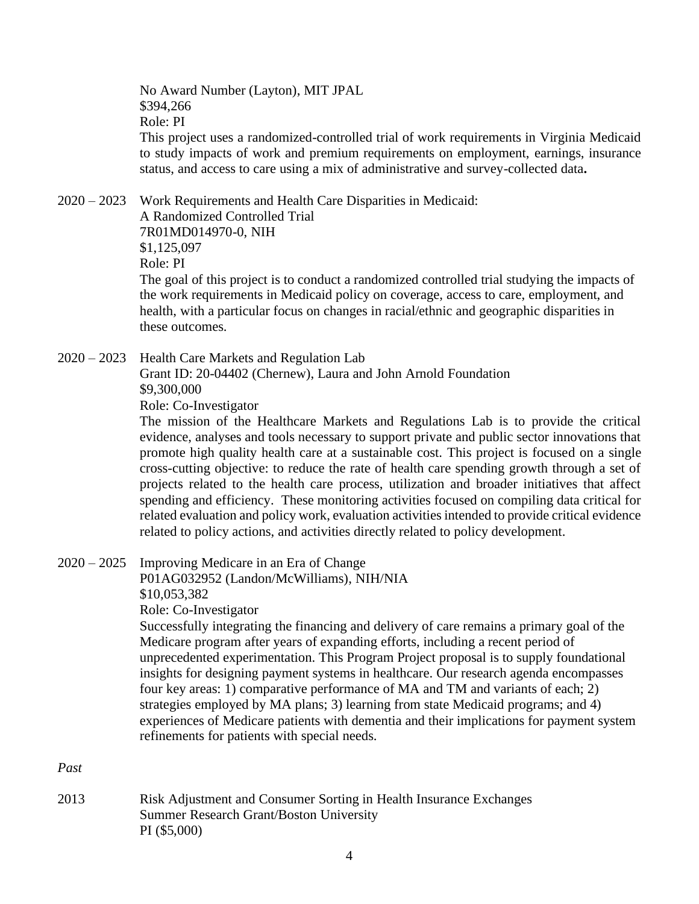No Award Number (Layton), MIT JPAL \$394,266 Role: PI This project uses a randomized-controlled trial of work requirements in Virginia Medicaid to study impacts of work and premium requirements on employment, earnings, insurance status, and access to care using a mix of administrative and survey-collected data**.**

2020 – 2023 Work Requirements and Health Care Disparities in Medicaid: A Randomized Controlled Trial 7R01MD014970-0, NIH \$1,125,097 Role: PI The goal of this project is to conduct a randomized controlled trial studying the impacts of the work requirements in Medicaid policy on coverage, access to care, employment, and health, with a particular focus on changes in racial/ethnic and geographic disparities in these outcomes.

2020 – 2023 Health Care Markets and Regulation Lab

Grant ID: 20-04402 (Chernew), Laura and John Arnold Foundation \$9,300,000

Role: Co-Investigator

The mission of the Healthcare Markets and Regulations Lab is to provide the critical evidence, analyses and tools necessary to support private and public sector innovations that promote high quality health care at a sustainable cost. This project is focused on a single cross-cutting objective: to reduce the rate of health care spending growth through a set of projects related to the health care process, utilization and broader initiatives that affect spending and efficiency. These monitoring activities focused on compiling data critical for related evaluation and policy work, evaluation activities intended to provide critical evidence related to policy actions, and activities directly related to policy development.

2020 – 2025 Improving Medicare in an Era of Change P01AG032952 (Landon/McWilliams), NIH/NIA \$10,053,382 Role: Co-Investigator

> Successfully integrating the financing and delivery of care remains a primary goal of the Medicare program after years of expanding efforts, including a recent period of unprecedented experimentation. This Program Project proposal is to supply foundational insights for designing payment systems in healthcare. Our research agenda encompasses four key areas: 1) comparative performance of MA and TM and variants of each; 2) strategies employed by MA plans; 3) learning from state Medicaid programs; and 4) experiences of Medicare patients with dementia and their implications for payment system refinements for patients with special needs.

*Past*

2013 Risk Adjustment and Consumer Sorting in Health Insurance Exchanges Summer Research Grant/Boston University PI (\$5,000)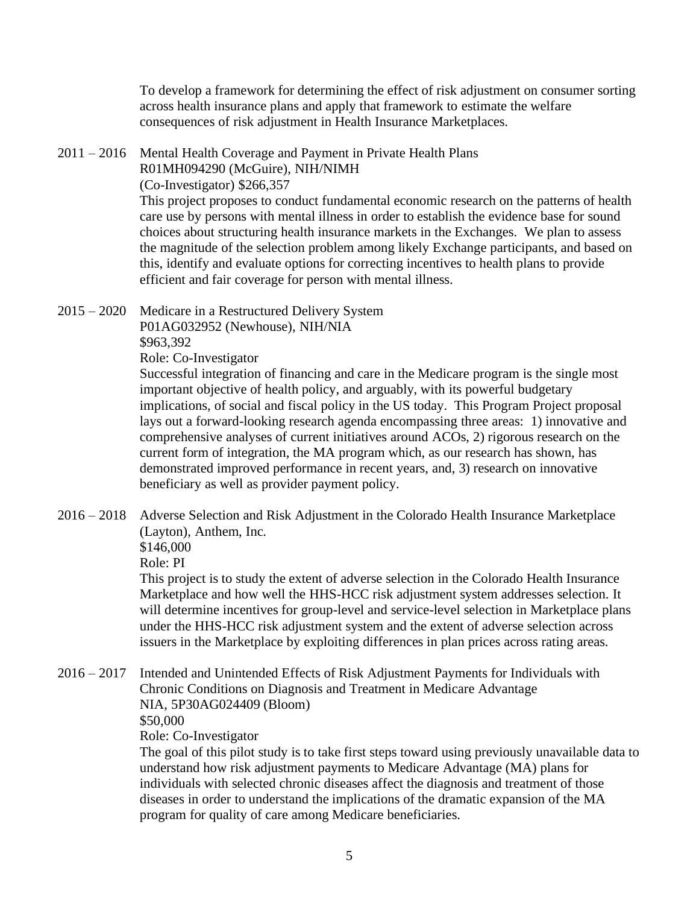To develop a framework for determining the effect of risk adjustment on consumer sorting across health insurance plans and apply that framework to estimate the welfare consequences of risk adjustment in Health Insurance Marketplaces.

2011 – 2016 Mental Health Coverage and Payment in Private Health Plans

R01MH094290 (McGuire), NIH/NIMH

(Co-Investigator) \$266,357

This project proposes to conduct fundamental economic research on the patterns of health care use by persons with mental illness in order to establish the evidence base for sound choices about structuring health insurance markets in the Exchanges. We plan to assess the magnitude of the selection problem among likely Exchange participants, and based on this, identify and evaluate options for correcting incentives to health plans to provide efficient and fair coverage for person with mental illness.

2015 – 2020 Medicare in a Restructured Delivery System P01AG032952 (Newhouse), NIH/NIA \$963,392 Role: Co-Investigator

Successful integration of financing and care in the Medicare program is the single most important objective of health policy, and arguably, with its powerful budgetary implications, of social and fiscal policy in the US today. This Program Project proposal lays out a forward-looking research agenda encompassing three areas: 1) innovative and comprehensive analyses of current initiatives around ACOs, 2) rigorous research on the current form of integration, the MA program which, as our research has shown, has demonstrated improved performance in recent years, and, 3) research on innovative beneficiary as well as provider payment policy.

2016 – 2018 Adverse Selection and Risk Adjustment in the Colorado Health Insurance Marketplace (Layton), Anthem, Inc.

\$146,000

Role: PI

This project is to study the extent of adverse selection in the Colorado Health Insurance Marketplace and how well the HHS-HCC risk adjustment system addresses selection. It will determine incentives for group-level and service-level selection in Marketplace plans under the HHS-HCC risk adjustment system and the extent of adverse selection across issuers in the Marketplace by exploiting differences in plan prices across rating areas.

2016 – 2017 Intended and Unintended Effects of Risk Adjustment Payments for Individuals with Chronic Conditions on Diagnosis and Treatment in Medicare Advantage NIA, 5P30AG024409 (Bloom) \$50,000

Role: Co-Investigator

The goal of this pilot study is to take first steps toward using previously unavailable data to understand how risk adjustment payments to Medicare Advantage (MA) plans for individuals with selected chronic diseases affect the diagnosis and treatment of those diseases in order to understand the implications of the dramatic expansion of the MA program for quality of care among Medicare beneficiaries.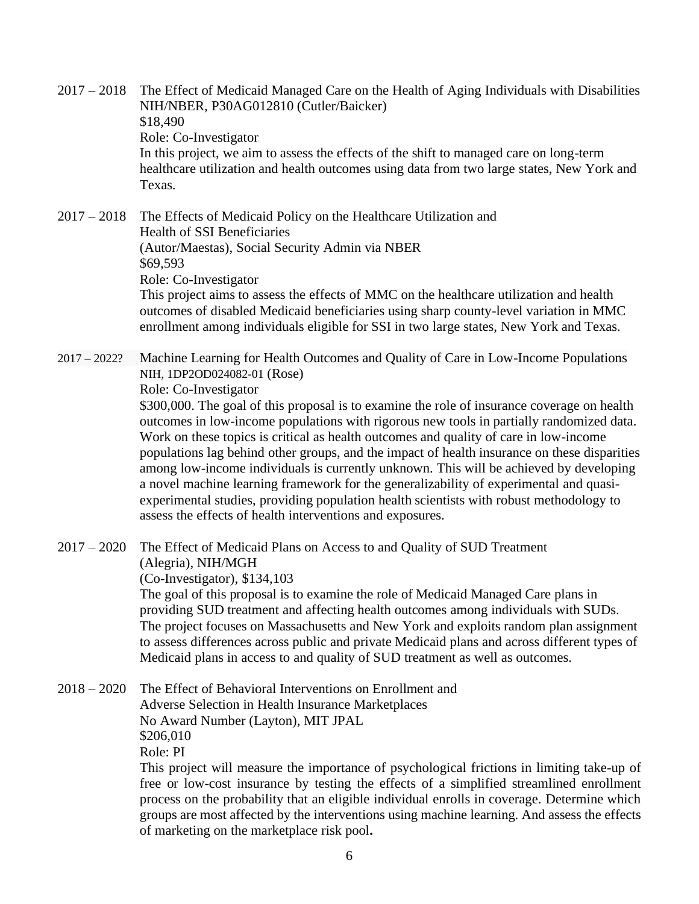2017 – 2018 The Effect of Medicaid Managed Care on the Health of Aging Individuals with Disabilities NIH/NBER, P30AG012810 (Cutler/Baicker) \$18,490 Role: Co-Investigator In this project, we aim to assess the effects of the shift to managed care on long-term healthcare utilization and health outcomes using data from two large states, New York and Texas.

2017 – 2018 The Effects of Medicaid Policy on the Healthcare Utilization and Health of SSI Beneficiaries (Autor/Maestas), Social Security Admin via NBER \$69,593 Role: Co-Investigator This project aims to assess the effects of MMC on the healthcare utilization and health

outcomes of disabled Medicaid beneficiaries using sharp county-level variation in MMC enrollment among individuals eligible for SSI in two large states, New York and Texas.

2017 – 2022? Machine Learning for Health Outcomes and Quality of Care in Low-Income Populations NIH, 1DP2OD024082-01 (Rose) Role: Co-Investigator \$300,000. The goal of this proposal is to examine the role of insurance coverage on health

outcomes in low-income populations with rigorous new tools in partially randomized data. Work on these topics is critical as health outcomes and quality of care in low-income populations lag behind other groups, and the impact of health insurance on these disparities among low-income individuals is currently unknown. This will be achieved by developing a novel machine learning framework for the generalizability of experimental and quasiexperimental studies, providing population health scientists with robust methodology to assess the effects of health interventions and exposures.

2017 – 2020 The Effect of Medicaid Plans on Access to and Quality of SUD Treatment (Alegria), NIH/MGH

(Co-Investigator), \$134,103

The goal of this proposal is to examine the role of Medicaid Managed Care plans in providing SUD treatment and affecting health outcomes among individuals with SUDs. The project focuses on Massachusetts and New York and exploits random plan assignment to assess differences across public and private Medicaid plans and across different types of Medicaid plans in access to and quality of SUD treatment as well as outcomes.

2018 – 2020 The Effect of Behavioral Interventions on Enrollment and Adverse Selection in Health Insurance Marketplaces No Award Number (Layton), MIT JPAL \$206,010 Role: PI This project will measure the importance of psychological frictions in limiting take-up of

free or low-cost insurance by testing the effects of a simplified streamlined enrollment process on the probability that an eligible individual enrolls in coverage. Determine which groups are most affected by the interventions using machine learning. And assess the effects of marketing on the marketplace risk pool**.**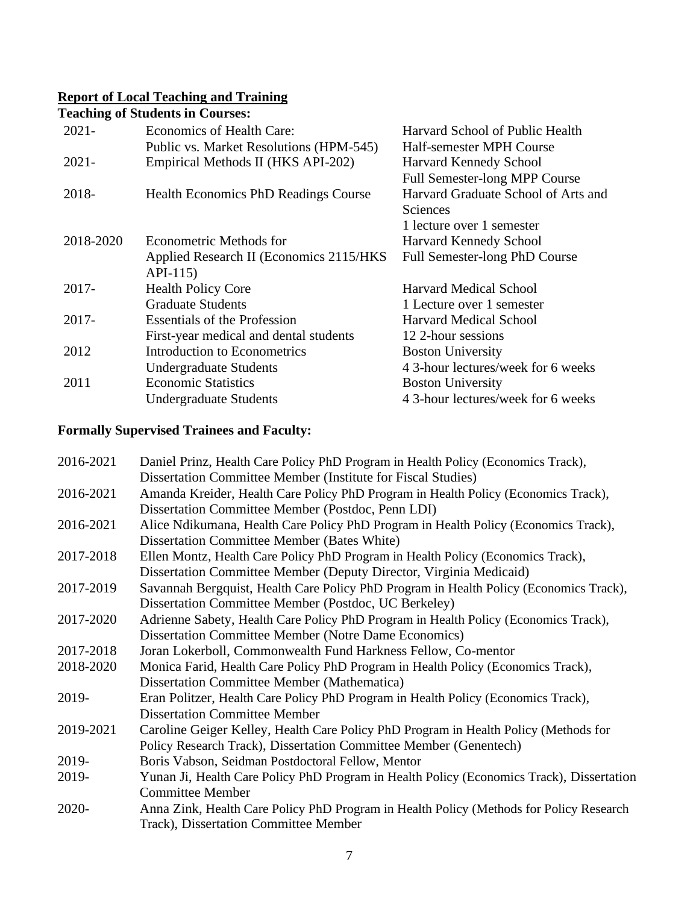### **Report of Local Teaching and Training**

**Teaching of Students in Courses:**

|                                             | Harvard School of Public Health      |
|---------------------------------------------|--------------------------------------|
| Public vs. Market Resolutions (HPM-545)     | Half-semester MPH Course             |
| Empirical Methods II (HKS API-202)          | Harvard Kennedy School               |
|                                             | <b>Full Semester-long MPP Course</b> |
| <b>Health Economics PhD Readings Course</b> | Harvard Graduate School of Arts and  |
|                                             | Sciences                             |
|                                             | 1 lecture over 1 semester            |
| Econometric Methods for                     | Harvard Kennedy School               |
| Applied Research II (Economics 2115/HKS)    | Full Semester-long PhD Course        |
| $API-115$                                   |                                      |
| <b>Health Policy Core</b>                   | <b>Harvard Medical School</b>        |
| <b>Graduate Students</b>                    | 1 Lecture over 1 semester            |
| <b>Essentials of the Profession</b>         | <b>Harvard Medical School</b>        |
| First-year medical and dental students      | 12 2-hour sessions                   |
| Introduction to Econometrics                | <b>Boston University</b>             |
| <b>Undergraduate Students</b>               | 4 3-hour lectures/week for 6 weeks   |
| <b>Economic Statistics</b>                  | <b>Boston University</b>             |
| <b>Undergraduate Students</b>               | 4 3-hour lectures/week for 6 weeks   |
|                                             | Economics of Health Care:            |

# **Formally Supervised Trainees and Faculty:**

| 2016-2021 | Daniel Prinz, Health Care Policy PhD Program in Health Policy (Economics Track),          |
|-----------|-------------------------------------------------------------------------------------------|
|           | Dissertation Committee Member (Institute for Fiscal Studies)                              |
| 2016-2021 | Amanda Kreider, Health Care Policy PhD Program in Health Policy (Economics Track),        |
|           | Dissertation Committee Member (Postdoc, Penn LDI)                                         |
| 2016-2021 | Alice Ndikumana, Health Care Policy PhD Program in Health Policy (Economics Track),       |
|           | Dissertation Committee Member (Bates White)                                               |
| 2017-2018 | Ellen Montz, Health Care Policy PhD Program in Health Policy (Economics Track),           |
|           | Dissertation Committee Member (Deputy Director, Virginia Medicaid)                        |
| 2017-2019 | Savannah Bergquist, Health Care Policy PhD Program in Health Policy (Economics Track),    |
|           | Dissertation Committee Member (Postdoc, UC Berkeley)                                      |
| 2017-2020 | Adrienne Sabety, Health Care Policy PhD Program in Health Policy (Economics Track),       |
|           | <b>Dissertation Committee Member (Notre Dame Economics)</b>                               |
| 2017-2018 | Joran Lokerboll, Commonwealth Fund Harkness Fellow, Co-mentor                             |
| 2018-2020 | Monica Farid, Health Care Policy PhD Program in Health Policy (Economics Track),          |
|           | <b>Dissertation Committee Member (Mathematica)</b>                                        |
| 2019-     | Eran Politzer, Health Care Policy PhD Program in Health Policy (Economics Track),         |
|           | <b>Dissertation Committee Member</b>                                                      |
| 2019-2021 | Caroline Geiger Kelley, Health Care Policy PhD Program in Health Policy (Methods for      |
|           | Policy Research Track), Dissertation Committee Member (Genentech)                         |
| 2019-     | Boris Vabson, Seidman Postdoctoral Fellow, Mentor                                         |
| 2019-     | Yunan Ji, Health Care Policy PhD Program in Health Policy (Economics Track), Dissertation |
|           | <b>Committee Member</b>                                                                   |
| 2020-     | Anna Zink, Health Care Policy PhD Program in Health Policy (Methods for Policy Research   |
|           | Track), Dissertation Committee Member                                                     |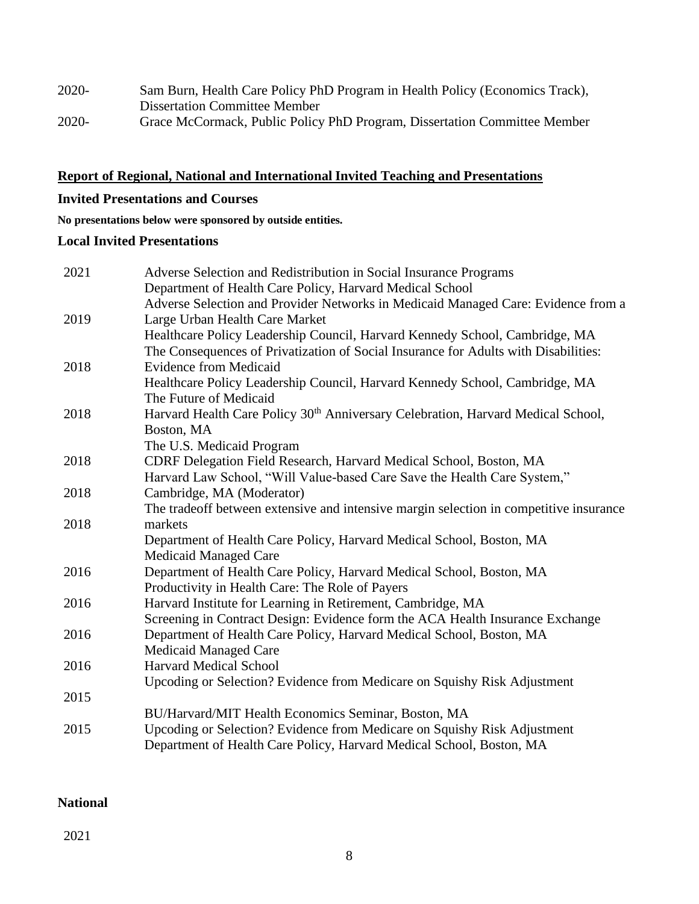| 2020- | Sam Burn, Health Care Policy PhD Program in Health Policy (Economics Track), |
|-------|------------------------------------------------------------------------------|
|       | <b>Dissertation Committee Member</b>                                         |
| 2020- | Grace McCormack, Public Policy PhD Program, Dissertation Committee Member    |

# **Report of Regional, National and International Invited Teaching and Presentations**

# **Invited Presentations and Courses**

**No presentations below were sponsored by outside entities.**

# **Local Invited Presentations**

| 2021 | Adverse Selection and Redistribution in Social Insurance Programs                            |
|------|----------------------------------------------------------------------------------------------|
|      | Department of Health Care Policy, Harvard Medical School                                     |
|      | Adverse Selection and Provider Networks in Medicaid Managed Care: Evidence from a            |
| 2019 | Large Urban Health Care Market                                                               |
|      | Healthcare Policy Leadership Council, Harvard Kennedy School, Cambridge, MA                  |
|      | The Consequences of Privatization of Social Insurance for Adults with Disabilities:          |
| 2018 | <b>Evidence from Medicaid</b>                                                                |
|      | Healthcare Policy Leadership Council, Harvard Kennedy School, Cambridge, MA                  |
|      | The Future of Medicaid                                                                       |
| 2018 | Harvard Health Care Policy 30 <sup>th</sup> Anniversary Celebration, Harvard Medical School, |
|      | Boston, MA                                                                                   |
|      | The U.S. Medicaid Program                                                                    |
| 2018 | CDRF Delegation Field Research, Harvard Medical School, Boston, MA                           |
|      | Harvard Law School, "Will Value-based Care Save the Health Care System,"                     |
| 2018 | Cambridge, MA (Moderator)                                                                    |
|      | The tradeoff between extensive and intensive margin selection in competitive insurance       |
| 2018 | markets                                                                                      |
|      | Department of Health Care Policy, Harvard Medical School, Boston, MA                         |
|      | Medicaid Managed Care                                                                        |
| 2016 | Department of Health Care Policy, Harvard Medical School, Boston, MA                         |
|      | Productivity in Health Care: The Role of Payers                                              |
| 2016 | Harvard Institute for Learning in Retirement, Cambridge, MA                                  |
|      | Screening in Contract Design: Evidence form the ACA Health Insurance Exchange                |
| 2016 | Department of Health Care Policy, Harvard Medical School, Boston, MA                         |
|      | Medicaid Managed Care                                                                        |
| 2016 | <b>Harvard Medical School</b>                                                                |
|      | Upcoding or Selection? Evidence from Medicare on Squishy Risk Adjustment                     |
| 2015 |                                                                                              |
|      | BU/Harvard/MIT Health Economics Seminar, Boston, MA                                          |
| 2015 |                                                                                              |
|      | Department of Health Care Policy, Harvard Medical School, Boston, MA                         |
|      | Upcoding or Selection? Evidence from Medicare on Squishy Risk Adjustment                     |

# **National**

2021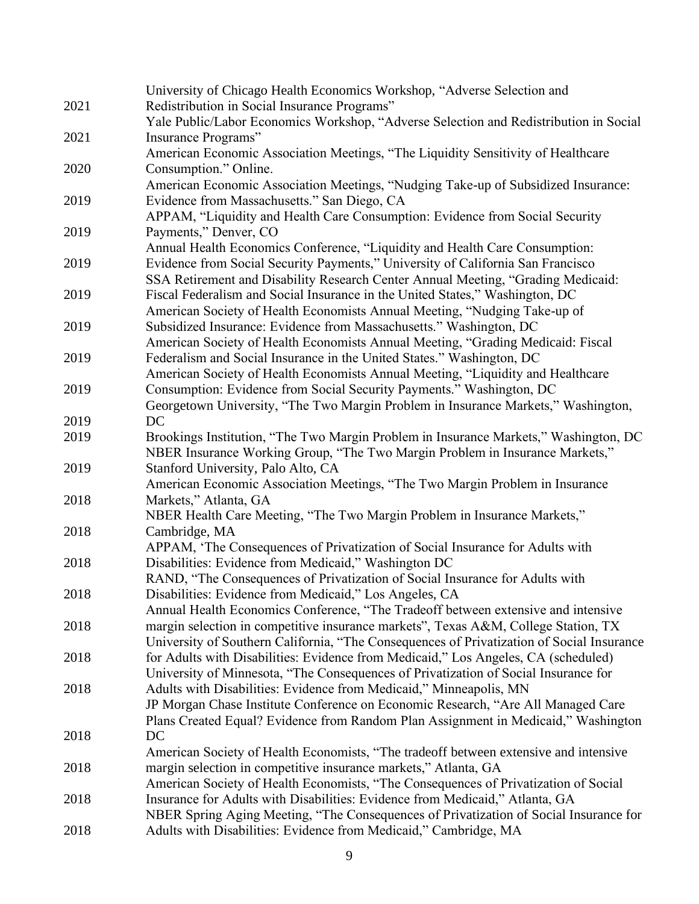|      | University of Chicago Health Economics Workshop, "Adverse Selection and                   |
|------|-------------------------------------------------------------------------------------------|
| 2021 | Redistribution in Social Insurance Programs"                                              |
|      | Yale Public/Labor Economics Workshop, "Adverse Selection and Redistribution in Social     |
| 2021 | Insurance Programs"                                                                       |
|      | American Economic Association Meetings, "The Liquidity Sensitivity of Healthcare          |
| 2020 | Consumption." Online.                                                                     |
|      | American Economic Association Meetings, "Nudging Take-up of Subsidized Insurance:         |
| 2019 | Evidence from Massachusetts." San Diego, CA                                               |
|      | APPAM, "Liquidity and Health Care Consumption: Evidence from Social Security              |
| 2019 | Payments," Denver, CO                                                                     |
|      | Annual Health Economics Conference, "Liquidity and Health Care Consumption:               |
| 2019 | Evidence from Social Security Payments," University of California San Francisco           |
|      |                                                                                           |
|      | SSA Retirement and Disability Research Center Annual Meeting, "Grading Medicaid:          |
| 2019 | Fiscal Federalism and Social Insurance in the United States," Washington, DC              |
|      | American Society of Health Economists Annual Meeting, "Nudging Take-up of                 |
| 2019 | Subsidized Insurance: Evidence from Massachusetts." Washington, DC                        |
|      | American Society of Health Economists Annual Meeting, "Grading Medicaid: Fiscal           |
| 2019 | Federalism and Social Insurance in the United States." Washington, DC                     |
|      | American Society of Health Economists Annual Meeting, "Liquidity and Healthcare           |
| 2019 | Consumption: Evidence from Social Security Payments." Washington, DC                      |
|      | Georgetown University, "The Two Margin Problem in Insurance Markets," Washington,         |
| 2019 | DC                                                                                        |
| 2019 | Brookings Institution, "The Two Margin Problem in Insurance Markets," Washington, DC      |
|      | NBER Insurance Working Group, "The Two Margin Problem in Insurance Markets,"              |
| 2019 | Stanford University, Palo Alto, CA                                                        |
|      | American Economic Association Meetings, "The Two Margin Problem in Insurance              |
| 2018 | Markets," Atlanta, GA                                                                     |
|      | NBER Health Care Meeting, "The Two Margin Problem in Insurance Markets,"                  |
| 2018 | Cambridge, MA                                                                             |
|      | APPAM, 'The Consequences of Privatization of Social Insurance for Adults with             |
| 2018 | Disabilities: Evidence from Medicaid," Washington DC                                      |
|      | RAND, "The Consequences of Privatization of Social Insurance for Adults with              |
| 2018 | Disabilities: Evidence from Medicaid," Los Angeles, CA                                    |
|      | Annual Health Economics Conference, "The Tradeoff between extensive and intensive         |
| 2018 | margin selection in competitive insurance markets", Texas A&M, College Station, TX        |
|      | University of Southern California, "The Consequences of Privatization of Social Insurance |
| 2018 | for Adults with Disabilities: Evidence from Medicaid," Los Angeles, CA (scheduled)        |
|      | University of Minnesota, "The Consequences of Privatization of Social Insurance for       |
| 2018 | Adults with Disabilities: Evidence from Medicaid," Minneapolis, MN                        |
|      | JP Morgan Chase Institute Conference on Economic Research, "Are All Managed Care          |
|      | Plans Created Equal? Evidence from Random Plan Assignment in Medicaid," Washington        |
| 2018 | DC                                                                                        |
|      | American Society of Health Economists, "The tradeoff between extensive and intensive      |
| 2018 | margin selection in competitive insurance markets," Atlanta, GA                           |
|      | American Society of Health Economists, "The Consequences of Privatization of Social       |
| 2018 | Insurance for Adults with Disabilities: Evidence from Medicaid," Atlanta, GA              |
|      | NBER Spring Aging Meeting, "The Consequences of Privatization of Social Insurance for     |
| 2018 | Adults with Disabilities: Evidence from Medicaid," Cambridge, MA                          |
|      |                                                                                           |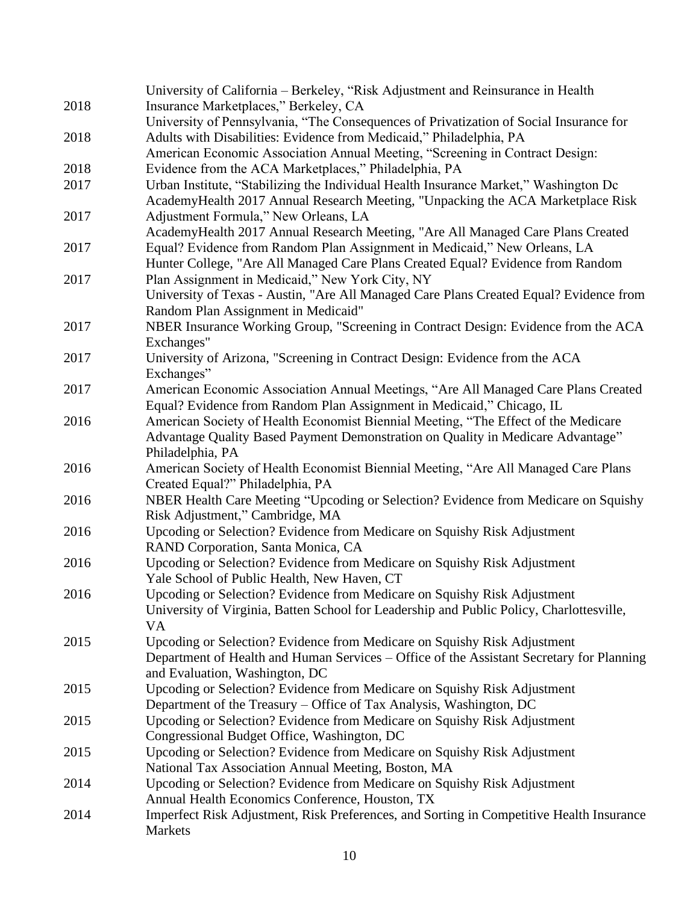|      | University of California - Berkeley, "Risk Adjustment and Reinsurance in Health          |
|------|------------------------------------------------------------------------------------------|
| 2018 | Insurance Marketplaces," Berkeley, CA                                                    |
|      | University of Pennsylvania, "The Consequences of Privatization of Social Insurance for   |
| 2018 | Adults with Disabilities: Evidence from Medicaid," Philadelphia, PA                      |
|      | American Economic Association Annual Meeting, "Screening in Contract Design:             |
| 2018 | Evidence from the ACA Marketplaces," Philadelphia, PA                                    |
| 2017 | Urban Institute, "Stabilizing the Individual Health Insurance Market," Washington Dc     |
|      | AcademyHealth 2017 Annual Research Meeting, "Unpacking the ACA Marketplace Risk          |
| 2017 | Adjustment Formula," New Orleans, LA                                                     |
|      | AcademyHealth 2017 Annual Research Meeting, "Are All Managed Care Plans Created          |
| 2017 | Equal? Evidence from Random Plan Assignment in Medicaid," New Orleans, LA                |
|      | Hunter College, "Are All Managed Care Plans Created Equal? Evidence from Random          |
| 2017 | Plan Assignment in Medicaid," New York City, NY                                          |
|      | University of Texas - Austin, "Are All Managed Care Plans Created Equal? Evidence from   |
|      | Random Plan Assignment in Medicaid"                                                      |
| 2017 | NBER Insurance Working Group, "Screening in Contract Design: Evidence from the ACA       |
|      | Exchanges"                                                                               |
| 2017 | University of Arizona, "Screening in Contract Design: Evidence from the ACA              |
|      | Exchanges"                                                                               |
| 2017 | American Economic Association Annual Meetings, "Are All Managed Care Plans Created       |
|      | Equal? Evidence from Random Plan Assignment in Medicaid," Chicago, IL                    |
| 2016 | American Society of Health Economist Biennial Meeting, "The Effect of the Medicare       |
|      | Advantage Quality Based Payment Demonstration on Quality in Medicare Advantage"          |
|      | Philadelphia, PA                                                                         |
| 2016 | American Society of Health Economist Biennial Meeting, "Are All Managed Care Plans       |
|      | Created Equal?" Philadelphia, PA                                                         |
| 2016 | NBER Health Care Meeting "Upcoding or Selection? Evidence from Medicare on Squishy       |
|      | Risk Adjustment," Cambridge, MA                                                          |
| 2016 | Upcoding or Selection? Evidence from Medicare on Squishy Risk Adjustment                 |
|      | RAND Corporation, Santa Monica, CA                                                       |
| 2016 | Upcoding or Selection? Evidence from Medicare on Squishy Risk Adjustment                 |
|      | Yale School of Public Health, New Haven, CT                                              |
| 2016 | Upcoding or Selection? Evidence from Medicare on Squishy Risk Adjustment                 |
|      | University of Virginia, Batten School for Leadership and Public Policy, Charlottesville, |
|      | VA                                                                                       |
| 2015 | Upcoding or Selection? Evidence from Medicare on Squishy Risk Adjustment                 |
|      | Department of Health and Human Services – Office of the Assistant Secretary for Planning |
|      | and Evaluation, Washington, DC                                                           |
| 2015 | Upcoding or Selection? Evidence from Medicare on Squishy Risk Adjustment                 |
|      | Department of the Treasury – Office of Tax Analysis, Washington, DC                      |
| 2015 | Upcoding or Selection? Evidence from Medicare on Squishy Risk Adjustment                 |
|      | Congressional Budget Office, Washington, DC                                              |
| 2015 | Upcoding or Selection? Evidence from Medicare on Squishy Risk Adjustment                 |
|      | National Tax Association Annual Meeting, Boston, MA                                      |
| 2014 | Upcoding or Selection? Evidence from Medicare on Squishy Risk Adjustment                 |
|      | Annual Health Economics Conference, Houston, TX                                          |
| 2014 | Imperfect Risk Adjustment, Risk Preferences, and Sorting in Competitive Health Insurance |
|      | Markets                                                                                  |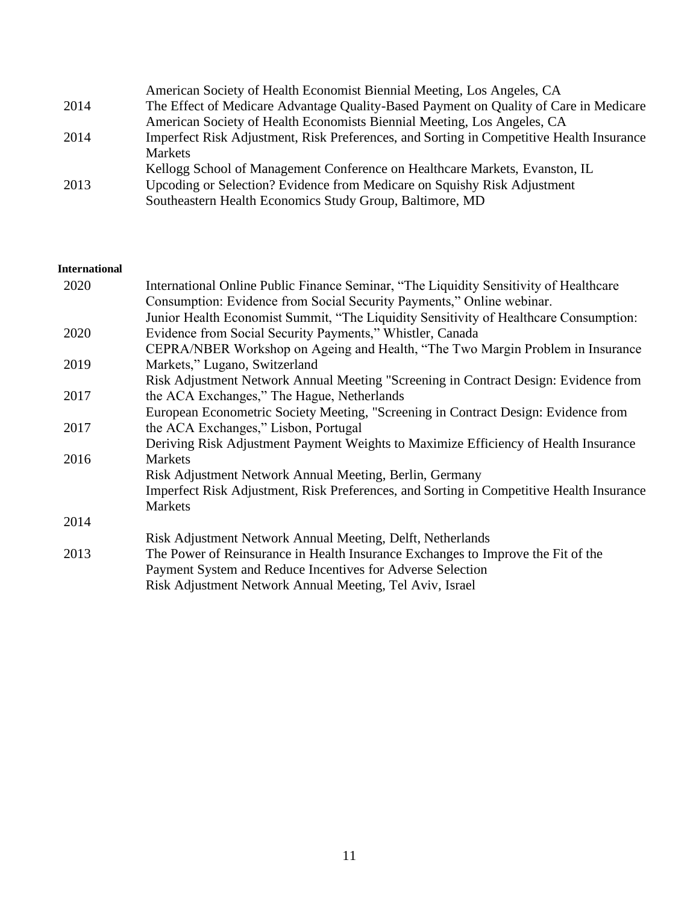|      | American Society of Health Economist Biennial Meeting, Los Angeles, CA                   |
|------|------------------------------------------------------------------------------------------|
| 2014 | The Effect of Medicare Advantage Quality-Based Payment on Quality of Care in Medicare    |
|      | American Society of Health Economists Biennial Meeting, Los Angeles, CA                  |
| 2014 | Imperfect Risk Adjustment, Risk Preferences, and Sorting in Competitive Health Insurance |
|      | Markets                                                                                  |
|      | Kellogg School of Management Conference on Healthcare Markets, Evanston, IL              |
| 2013 | Upcoding or Selection? Evidence from Medicare on Squishy Risk Adjustment                 |
|      | Southeastern Health Economics Study Group, Baltimore, MD                                 |

### **International**

| 2020 | International Online Public Finance Seminar, "The Liquidity Sensitivity of Healthcare    |
|------|------------------------------------------------------------------------------------------|
|      | Consumption: Evidence from Social Security Payments," Online webinar.                    |
|      | Junior Health Economist Summit, "The Liquidity Sensitivity of Healthcare Consumption:    |
| 2020 | Evidence from Social Security Payments," Whistler, Canada                                |
|      | CEPRA/NBER Workshop on Ageing and Health, "The Two Margin Problem in Insurance"          |
| 2019 | Markets," Lugano, Switzerland                                                            |
|      | Risk Adjustment Network Annual Meeting "Screening in Contract Design: Evidence from      |
| 2017 | the ACA Exchanges," The Hague, Netherlands                                               |
|      | European Econometric Society Meeting, "Screening in Contract Design: Evidence from       |
| 2017 | the ACA Exchanges," Lisbon, Portugal                                                     |
|      | Deriving Risk Adjustment Payment Weights to Maximize Efficiency of Health Insurance      |
| 2016 | <b>Markets</b>                                                                           |
|      | Risk Adjustment Network Annual Meeting, Berlin, Germany                                  |
|      | Imperfect Risk Adjustment, Risk Preferences, and Sorting in Competitive Health Insurance |
|      | <b>Markets</b>                                                                           |
| 2014 |                                                                                          |
|      | Risk Adjustment Network Annual Meeting, Delft, Netherlands                               |
| 2013 | The Power of Reinsurance in Health Insurance Exchanges to Improve the Fit of the         |
|      | Payment System and Reduce Incentives for Adverse Selection                               |
|      | Risk Adjustment Network Annual Meeting, Tel Aviv, Israel                                 |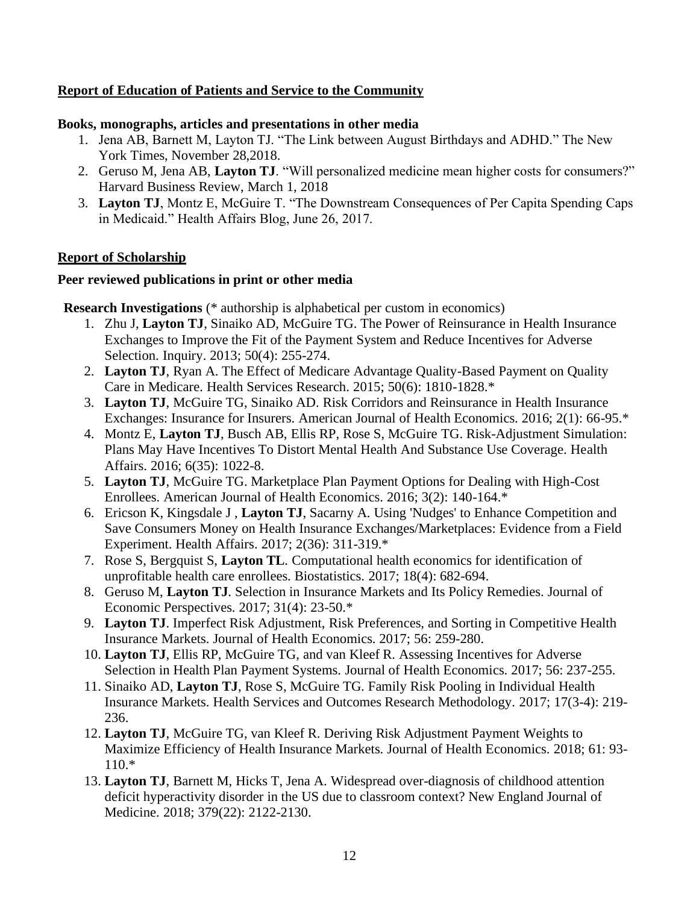# **Report of Education of Patients and Service to the Community**

### **Books, monographs, articles and presentations in other media**

- 1. Jena AB, Barnett M, Layton TJ. "The Link between August Birthdays and ADHD." The New York Times, November 28,2018.
- 2. Geruso M, Jena AB, **Layton TJ**. "Will personalized medicine mean higher costs for consumers?" Harvard Business Review, March 1, 2018
- 3. **Layton TJ**, Montz E, McGuire T. "The Downstream Consequences of Per Capita Spending Caps in Medicaid." Health Affairs Blog, June 26, 2017.

# **Report of Scholarship**

# **Peer reviewed publications in print or other media**

**Research Investigations** (\* authorship is alphabetical per custom in economics)

- 1. Zhu J, **Layton TJ**, Sinaiko AD, McGuire TG. The Power of Reinsurance in Health Insurance Exchanges to Improve the Fit of the Payment System and Reduce Incentives for Adverse Selection. Inquiry. 2013; 50(4): 255-274.
- 2. **Layton TJ**, Ryan A. The Effect of Medicare Advantage Quality-Based Payment on Quality Care in Medicare. Health Services Research. 2015; 50(6): 1810-1828.\*
- 3. **Layton TJ**, McGuire TG, Sinaiko AD. Risk Corridors and Reinsurance in Health Insurance Exchanges: Insurance for Insurers. American Journal of Health Economics. 2016; 2(1): 66-95.\*
- 4. Montz E, **Layton TJ**, Busch AB, Ellis RP, Rose S, McGuire TG. Risk-Adjustment Simulation: Plans May Have Incentives To Distort Mental Health And Substance Use Coverage. Health Affairs. 2016; 6(35): 1022-8.
- 5. **Layton TJ**, McGuire TG. Marketplace Plan Payment Options for Dealing with High-Cost Enrollees. American Journal of Health Economics. 2016; 3(2): 140-164.\*
- 6. Ericson K, Kingsdale J , **Layton TJ**, Sacarny A. Using 'Nudges' to Enhance Competition and Save Consumers Money on Health Insurance Exchanges/Marketplaces: Evidence from a Field Experiment. Health Affairs. 2017; 2(36): 311-319.\*
- 7. Rose S, Bergquist S, **Layton TL**. Computational health economics for identification of unprofitable health care enrollees. Biostatistics. 2017; 18(4): 682-694.
- 8. Geruso M, **Layton TJ**. Selection in Insurance Markets and Its Policy Remedies. Journal of Economic Perspectives. 2017; 31(4): 23-50.\*
- 9. **Layton TJ**. Imperfect Risk Adjustment, Risk Preferences, and Sorting in Competitive Health Insurance Markets. Journal of Health Economics. 2017; 56: 259-280.
- 10. **Layton TJ**, Ellis RP, McGuire TG, and van Kleef R. Assessing Incentives for Adverse Selection in Health Plan Payment Systems. Journal of Health Economics. 2017; 56: 237-255.
- 11. Sinaiko AD, **Layton TJ**, Rose S, McGuire TG. Family Risk Pooling in Individual Health Insurance Markets. Health Services and Outcomes Research Methodology. 2017; 17(3-4): 219- 236.
- 12. **Layton TJ**, McGuire TG, van Kleef R. Deriving Risk Adjustment Payment Weights to Maximize Efficiency of Health Insurance Markets. Journal of Health Economics. 2018; 61: 93- 110.\*
- 13. **Layton TJ**, Barnett M, Hicks T, Jena A. Widespread over-diagnosis of childhood attention deficit hyperactivity disorder in the US due to classroom context? New England Journal of Medicine. 2018; 379(22): 2122-2130.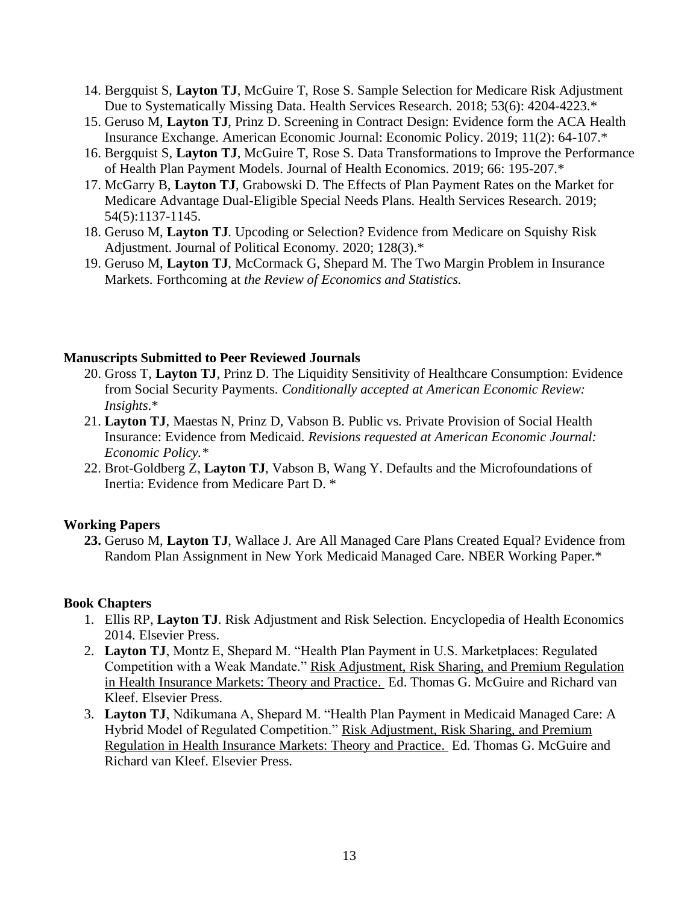- 14. Bergquist S, **Layton TJ**, McGuire T, Rose S. Sample Selection for Medicare Risk Adjustment Due to Systematically Missing Data. Health Services Research. 2018; 53(6): 4204-4223.\*
- 15. Geruso M, **Layton TJ**, Prinz D. Screening in Contract Design: Evidence form the ACA Health Insurance Exchange. American Economic Journal: Economic Policy. 2019; 11(2): 64-107.\*
- 16. Bergquist S, **Layton TJ**, McGuire T, Rose S. Data Transformations to Improve the Performance of Health Plan Payment Models. Journal of Health Economics. 2019; 66: 195-207.\*
- 17. McGarry B, **Layton TJ**, Grabowski D. The Effects of Plan Payment Rates on the Market for Medicare Advantage Dual-Eligible Special Needs Plans. Health Services Research. 2019; 54(5):1137-1145.
- 18. Geruso M, **Layton TJ**. Upcoding or Selection? Evidence from Medicare on Squishy Risk Adjustment. Journal of Political Economy. 2020; 128(3).\*
- 19. Geruso M, **Layton TJ**, McCormack G, Shepard M. The Two Margin Problem in Insurance Markets. Forthcoming at *the Review of Economics and Statistics.*

### **Manuscripts Submitted to Peer Reviewed Journals**

- 20. Gross T, **Layton TJ**, Prinz D. The Liquidity Sensitivity of Healthcare Consumption: Evidence from Social Security Payments. *Conditionally accepted at American Economic Review: Insights*.\*
- 21. **Layton TJ**, Maestas N, Prinz D, Vabson B. Public vs. Private Provision of Social Health Insurance: Evidence from Medicaid. *Revisions requested at American Economic Journal: Economic Policy.\**
- 22. Brot-Goldberg Z, **Layton TJ**, Vabson B, Wang Y. Defaults and the Microfoundations of Inertia: Evidence from Medicare Part D. \*

# **Working Papers**

**23.** Geruso M, **Layton TJ**, Wallace J. Are All Managed Care Plans Created Equal? Evidence from Random Plan Assignment in New York Medicaid Managed Care. NBER Working Paper.\*

### **Book Chapters**

- 1. Ellis RP, **Layton TJ**. Risk Adjustment and Risk Selection. Encyclopedia of Health Economics 2014. Elsevier Press.
- 2. **Layton TJ**, Montz E, Shepard M. "Health Plan Payment in U.S. Marketplaces: Regulated Competition with a Weak Mandate." Risk Adjustment, Risk Sharing, and Premium Regulation in Health Insurance Markets: Theory and Practice. Ed. Thomas G. McGuire and Richard van Kleef. Elsevier Press.
- 3. **Layton TJ**, Ndikumana A, Shepard M. "Health Plan Payment in Medicaid Managed Care: A Hybrid Model of Regulated Competition." Risk Adjustment, Risk Sharing, and Premium Regulation in Health Insurance Markets: Theory and Practice. Ed. Thomas G. McGuire and Richard van Kleef. Elsevier Press.